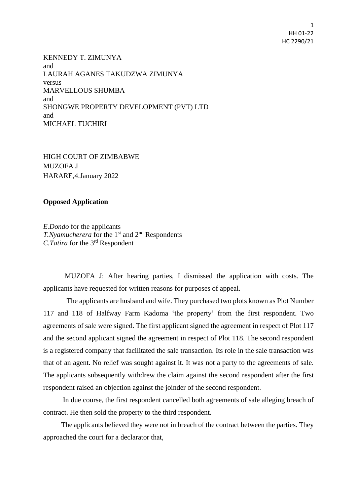1 HH 01-22 HC 2290/21

KENNEDY T. ZIMUNYA and LAURAH AGANES TAKUDZWA ZIMUNYA versus MARVELLOUS SHUMBA and SHONGWE PROPERTY DEVELOPMENT (PVT) LTD and MICHAEL TUCHIRI

HIGH COURT OF ZIMBABWE MUZOFA J HARARE,4.January 2022

## **Opposed Application**

*E.Dondo* for the applicants *T.Nyamucherera* for the 1<sup>st</sup> and 2<sup>nd</sup> Respondents *C.Tatira* for the 3rd Respondent

 MUZOFA J: After hearing parties, I dismissed the application with costs. The applicants have requested for written reasons for purposes of appeal.

 The applicants are husband and wife. They purchased two plots known as Plot Number 117 and 118 of Halfway Farm Kadoma 'the property' from the first respondent. Two agreements of sale were signed. The first applicant signed the agreement in respect of Plot 117 and the second applicant signed the agreement in respect of Plot 118. The second respondent is a registered company that facilitated the sale transaction. Its role in the sale transaction was that of an agent. No relief was sought against it. It was not a party to the agreements of sale. The applicants subsequently withdrew the claim against the second respondent after the first respondent raised an objection against the joinder of the second respondent.

 In due course, the first respondent cancelled both agreements of sale alleging breach of contract. He then sold the property to the third respondent.

 The applicants believed they were not in breach of the contract between the parties. They approached the court for a declarator that,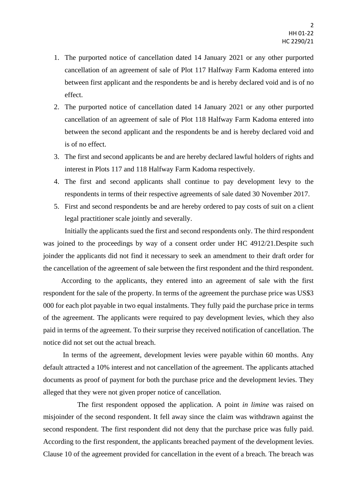- 1. The purported notice of cancellation dated 14 January 2021 or any other purported cancellation of an agreement of sale of Plot 117 Halfway Farm Kadoma entered into between first applicant and the respondents be and is hereby declared void and is of no effect.
- 2. The purported notice of cancellation dated 14 January 2021 or any other purported cancellation of an agreement of sale of Plot 118 Halfway Farm Kadoma entered into between the second applicant and the respondents be and is hereby declared void and is of no effect.
- 3. The first and second applicants be and are hereby declared lawful holders of rights and interest in Plots 117 and 118 Halfway Farm Kadoma respectively.
- 4. The first and second applicants shall continue to pay development levy to the respondents in terms of their respective agreements of sale dated 30 November 2017.
- 5. First and second respondents be and are hereby ordered to pay costs of suit on a client legal practitioner scale jointly and severally.

 Initially the applicants sued the first and second respondents only. The third respondent was joined to the proceedings by way of a consent order under HC 4912/21. Despite such joinder the applicants did not find it necessary to seek an amendment to their draft order for the cancellation of the agreement of sale between the first respondent and the third respondent.

 According to the applicants, they entered into an agreement of sale with the first respondent for the sale of the property. In terms of the agreement the purchase price was US\$3 000 for each plot payable in two equal instalments. They fully paid the purchase price in terms of the agreement. The applicants were required to pay development levies, which they also paid in terms of the agreement. To their surprise they received notification of cancellation. The notice did not set out the actual breach.

 In terms of the agreement, development levies were payable within 60 months. Any default attracted a 10% interest and not cancellation of the agreement. The applicants attached documents as proof of payment for both the purchase price and the development levies. They alleged that they were not given proper notice of cancellation.

 The first respondent opposed the application. A point *in limine* was raised on misjoinder of the second respondent. It fell away since the claim was withdrawn against the second respondent. The first respondent did not deny that the purchase price was fully paid. According to the first respondent, the applicants breached payment of the development levies. Clause 10 of the agreement provided for cancellation in the event of a breach. The breach was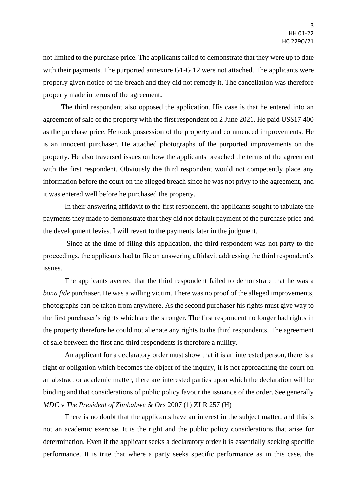not limited to the purchase price. The applicants failed to demonstrate that they were up to date with their payments. The purported annexure G1-G 12 were not attached. The applicants were properly given notice of the breach and they did not remedy it. The cancellation was therefore properly made in terms of the agreement.

 The third respondent also opposed the application. His case is that he entered into an agreement of sale of the property with the first respondent on 2 June 2021. He paid US\$17 400 as the purchase price. He took possession of the property and commenced improvements. He is an innocent purchaser. He attached photographs of the purported improvements on the property. He also traversed issues on how the applicants breached the terms of the agreement with the first respondent. Obviously the third respondent would not competently place any information before the court on the alleged breach since he was not privy to the agreement, and it was entered well before he purchased the property.

In their answering affidavit to the first respondent, the applicants sought to tabulate the payments they made to demonstrate that they did not default payment of the purchase price and the development levies. I will revert to the payments later in the judgment.

 Since at the time of filing this application, the third respondent was not party to the proceedings, the applicants had to file an answering affidavit addressing the third respondent's issues.

 The applicants averred that the third respondent failed to demonstrate that he was a *bona fide* purchaser. He was a willing victim. There was no proof of the alleged improvements, photographs can be taken from anywhere. As the second purchaser his rights must give way to the first purchaser's rights which are the stronger. The first respondent no longer had rights in the property therefore he could not alienate any rights to the third respondents. The agreement of sale between the first and third respondents is therefore a nullity.

An applicant for a declaratory order must show that it is an interested person, there is a right or obligation which becomes the object of the inquiry, it is not approaching the court on an abstract or academic matter, there are interested parties upon which the declaration will be binding and that considerations of public policy favour the issuance of the order. See generally *MDC* v *The President of Zimbabwe & Ors* 2007 (1) ZLR 257 (H)

There is no doubt that the applicants have an interest in the subject matter, and this is not an academic exercise. It is the right and the public policy considerations that arise for determination. Even if the applicant seeks a declaratory order it is essentially seeking specific performance. It is trite that where a party seeks specific performance as in this case, the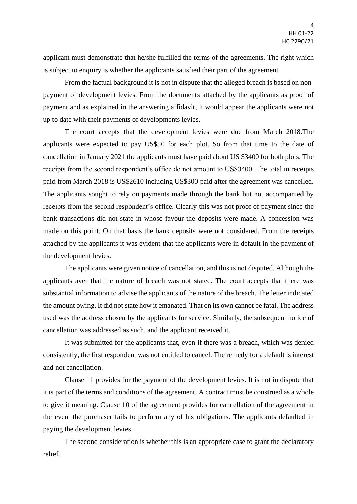applicant must demonstrate that he/she fulfilled the terms of the agreements. The right which is subject to enquiry is whether the applicants satisfied their part of the agreement.

From the factual background it is not in dispute that the alleged breach is based on nonpayment of development levies. From the documents attached by the applicants as proof of payment and as explained in the answering affidavit, it would appear the applicants were not up to date with their payments of developments levies.

The court accepts that the development levies were due from March 2018.The applicants were expected to pay US\$50 for each plot. So from that time to the date of cancellation in January 2021 the applicants must have paid about US \$3400 for both plots. The receipts from the second respondent's office do not amount to US\$3400. The total in receipts paid from March 2018 is US\$2610 including US\$300 paid after the agreement was cancelled. The applicants sought to rely on payments made through the bank but not accompanied by receipts from the second respondent's office. Clearly this was not proof of payment since the bank transactions did not state in whose favour the deposits were made. A concession was made on this point. On that basis the bank deposits were not considered. From the receipts attached by the applicants it was evident that the applicants were in default in the payment of the development levies.

The applicants were given notice of cancellation, and this is not disputed. Although the applicants aver that the nature of breach was not stated. The court accepts that there was substantial information to advise the applicants of the nature of the breach. The letter indicated the amount owing. It did not state how it emanated. That on its own cannot be fatal. The address used was the address chosen by the applicants for service. Similarly, the subsequent notice of cancellation was addressed as such, and the applicant received it.

It was submitted for the applicants that, even if there was a breach, which was denied consistently, the first respondent was not entitled to cancel. The remedy for a default is interest and not cancellation.

Clause 11 provides for the payment of the development levies. It is not in dispute that it is part of the terms and conditions of the agreement. A contract must be construed as a whole to give it meaning. Clause 10 of the agreement provides for cancellation of the agreement in the event the purchaser fails to perform any of his obligations. The applicants defaulted in paying the development levies.

The second consideration is whether this is an appropriate case to grant the declaratory relief.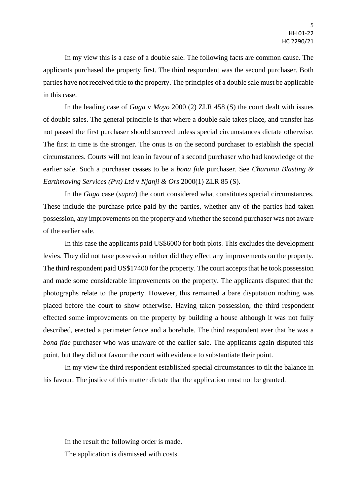In my view this is a case of a double sale. The following facts are common cause. The applicants purchased the property first. The third respondent was the second purchaser. Both parties have not received title to the property. The principles of a double sale must be applicable in this case.

In the leading case of *Guga* v *Moyo* 2000 (2) ZLR 458 (S) the court dealt with issues of double sales. The general principle is that where a double sale takes place, and transfer has not passed the first purchaser should succeed unless special circumstances dictate otherwise. The first in time is the stronger. The onus is on the second purchaser to establish the special circumstances. Courts will not lean in favour of a second purchaser who had knowledge of the earlier sale. Such a purchaser ceases to be a *bona fide* purchaser. See *Charuma Blasting & Earthmoving Services (Pvt) Ltd* v *Njanji & Ors* 2000(1) ZLR 85 (S).

In the *Guga* case (*supra*) the court considered what constitutes special circumstances. These include the purchase price paid by the parties, whether any of the parties had taken possession, any improvements on the property and whether the second purchaser was not aware of the earlier sale.

In this case the applicants paid US\$6000 for both plots. This excludes the development levies. They did not take possession neither did they effect any improvements on the property. The third respondent paid US\$17400 for the property. The court accepts that he took possession and made some considerable improvements on the property. The applicants disputed that the photographs relate to the property. However, this remained a bare disputation nothing was placed before the court to show otherwise. Having taken possession, the third respondent effected some improvements on the property by building a house although it was not fully described, erected a perimeter fence and a borehole. The third respondent aver that he was a *bona fide* purchaser who was unaware of the earlier sale. The applicants again disputed this point, but they did not favour the court with evidence to substantiate their point.

In my view the third respondent established special circumstances to tilt the balance in his favour. The justice of this matter dictate that the application must not be granted.

In the result the following order is made. The application is dismissed with costs.